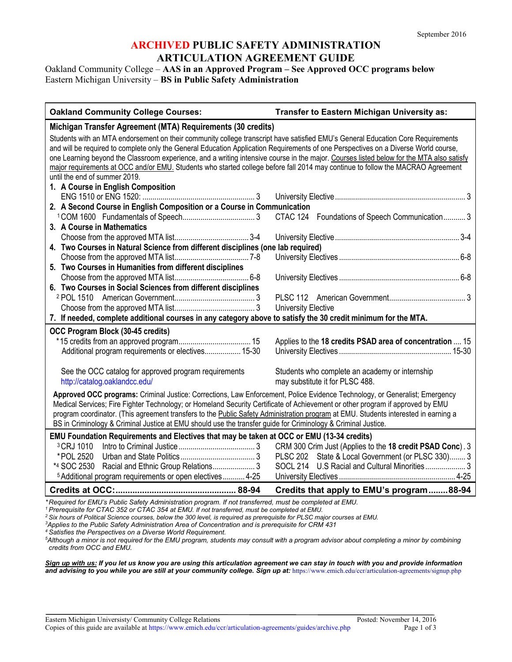### **ARCHIVED PUBLIC SAFETY ADMINISTRATION ARTICULATION AGREEMENT GUIDE**

Oakland Community College – **AAS in an Approved Program – See Approved OCC programs below** Eastern Michigan University – **BS in Public Safety Administration**

| <b>Oakland Community College Courses:</b>                                                                                                                                                                                                                                                                                                                                                                                                                                                                                                                                              | Transfer to Eastern Michigan University as:                                       |  |
|----------------------------------------------------------------------------------------------------------------------------------------------------------------------------------------------------------------------------------------------------------------------------------------------------------------------------------------------------------------------------------------------------------------------------------------------------------------------------------------------------------------------------------------------------------------------------------------|-----------------------------------------------------------------------------------|--|
| Michigan Transfer Agreement (MTA) Requirements (30 credits)                                                                                                                                                                                                                                                                                                                                                                                                                                                                                                                            |                                                                                   |  |
| Students with an MTA endorsement on their community college transcript have satisfied EMU's General Education Core Requirements<br>and will be required to complete only the General Education Application Requirements of one Perspectives on a Diverse World course,<br>one Learning beyond the Classroom experience, and a writing intensive course in the major. Courses listed below for the MTA also satisfy<br>major requirements at OCC and/or EMU. Students who started college before fall 2014 may continue to follow the MACRAO Agreement<br>until the end of summer 2019. |                                                                                   |  |
| 1. A Course in English Composition                                                                                                                                                                                                                                                                                                                                                                                                                                                                                                                                                     |                                                                                   |  |
|                                                                                                                                                                                                                                                                                                                                                                                                                                                                                                                                                                                        |                                                                                   |  |
| 2. A Second Course in English Composition or a Course in Communication                                                                                                                                                                                                                                                                                                                                                                                                                                                                                                                 |                                                                                   |  |
|                                                                                                                                                                                                                                                                                                                                                                                                                                                                                                                                                                                        | CTAC 124 Foundations of Speech Communication 3                                    |  |
| 3. A Course in Mathematics                                                                                                                                                                                                                                                                                                                                                                                                                                                                                                                                                             |                                                                                   |  |
|                                                                                                                                                                                                                                                                                                                                                                                                                                                                                                                                                                                        |                                                                                   |  |
| 4. Two Courses in Natural Science from different disciplines (one lab required)                                                                                                                                                                                                                                                                                                                                                                                                                                                                                                        |                                                                                   |  |
|                                                                                                                                                                                                                                                                                                                                                                                                                                                                                                                                                                                        |                                                                                   |  |
| 5. Two Courses in Humanities from different disciplines                                                                                                                                                                                                                                                                                                                                                                                                                                                                                                                                |                                                                                   |  |
|                                                                                                                                                                                                                                                                                                                                                                                                                                                                                                                                                                                        |                                                                                   |  |
| 6. Two Courses in Social Sciences from different disciplines                                                                                                                                                                                                                                                                                                                                                                                                                                                                                                                           |                                                                                   |  |
|                                                                                                                                                                                                                                                                                                                                                                                                                                                                                                                                                                                        |                                                                                   |  |
|                                                                                                                                                                                                                                                                                                                                                                                                                                                                                                                                                                                        | <b>University Elective</b>                                                        |  |
| 7. If needed, complete additional courses in any category above to satisfy the 30 credit minimum for the MTA.                                                                                                                                                                                                                                                                                                                                                                                                                                                                          |                                                                                   |  |
| OCC Program Block (30-45 credits)                                                                                                                                                                                                                                                                                                                                                                                                                                                                                                                                                      |                                                                                   |  |
| Additional program requirements or electives 15-30                                                                                                                                                                                                                                                                                                                                                                                                                                                                                                                                     | Applies to the 18 credits PSAD area of concentration  15                          |  |
| See the OCC catalog for approved program requirements<br>http://catalog.oaklandcc.edu/                                                                                                                                                                                                                                                                                                                                                                                                                                                                                                 | Students who complete an academy or internship<br>may substitute it for PLSC 488. |  |
| Approved OCC programs: Criminal Justice: Corrections, Law Enforcement, Police Evidence Technology, or Generalist; Emergency<br>Medical Services; Fire Fighter Technology; or Homeland Security Certificate of Achievement or other program if approved by EMU<br>program coordinator. (This agreement transfers to the Public Safety Administration program at EMU. Students interested in earning a<br>BS in Criminology & Criminal Justice at EMU should use the transfer guide for Criminology & Criminal Justice.                                                                  |                                                                                   |  |
| EMU Foundation Requirements and Electives that may be taken at OCC or EMU (13-34 credits)                                                                                                                                                                                                                                                                                                                                                                                                                                                                                              |                                                                                   |  |
| <sup>3</sup> CRJ 1010                                                                                                                                                                                                                                                                                                                                                                                                                                                                                                                                                                  | CRM 300 Crim Just (Applies to the 18 credit PSAD Conc). 3                         |  |
| *POL 2520                                                                                                                                                                                                                                                                                                                                                                                                                                                                                                                                                                              | PLSC 202 State & Local Government (or PLSC 330) 3                                 |  |
| *4 SOC 2530 Racial and Ethnic Group Relations 3                                                                                                                                                                                                                                                                                                                                                                                                                                                                                                                                        | SOCL 214 U.S Racial and Cultural Minorities 3                                     |  |
| <sup>5</sup> Additional program requirements or open electives  4-25                                                                                                                                                                                                                                                                                                                                                                                                                                                                                                                   |                                                                                   |  |
|                                                                                                                                                                                                                                                                                                                                                                                                                                                                                                                                                                                        | Credits that apply to EMU's program88-94                                          |  |
| Required for EMU's Public Safety Administration program. If not transferred, must be completed at EMU.<br>$^{\rm 1}$ Prerequisite for CTAC 352 or CTAC 354 at EMU. If not transferred, must be completed at EMU.                                                                                                                                                                                                                                                                                                                                                                       |                                                                                   |  |
| <sup>2</sup> Six hours of Political Science courses, below the 300 level, is required as prerequisite for PLSC major courses at EMU.                                                                                                                                                                                                                                                                                                                                                                                                                                                   |                                                                                   |  |
| <sup>3</sup> Applies to the Public Safety Administration Area of Concentration and is prerequisite for CRM 431                                                                                                                                                                                                                                                                                                                                                                                                                                                                         |                                                                                   |  |

*<sup>4</sup> Satisfies the Perspectives on a Diverse World Requirement.*

*5 Although a minor is not required for the EMU program, students may consult with a program advisor about completing a minor by combining credits from OCC and EMU.*

*Sign up with us: If you let us know you are using this articulation agreement we can stay in touch with you and provide information and advising to you while you are still at your community college. Sign up at:* https://www.emich.edu/ccr/articulation-agreements/signup.php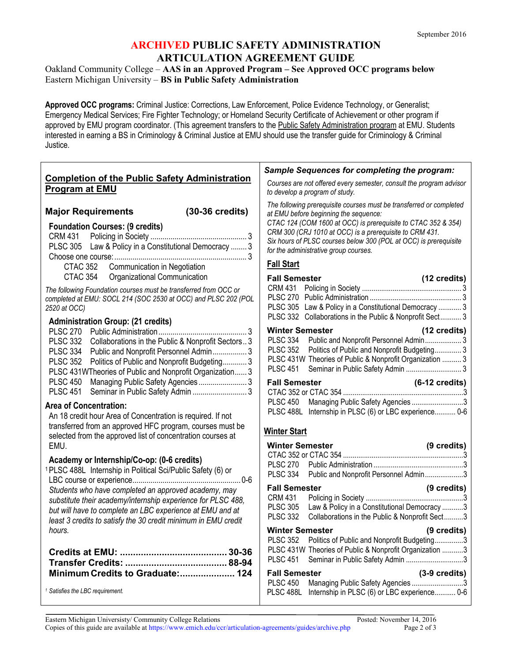## **ARCHIVED PUBLIC SAFETY ADMINISTRATION ARTICULATION AGREEMENT GUIDE**

Oakland Community College – **AAS in an Approved Program – See Approved OCC programs below** Eastern Michigan University – **BS in Public Safety Administration**

**Approved OCC programs:** Criminal Justice: Corrections, Law Enforcement, Police Evidence Technology, or Generalist; Emergency Medical Services; Fire Fighter Technology; or Homeland Security Certificate of Achievement or other program if approved by EMU program coordinator. (This agreement transfers to the Public Safety Administration program at EMU. Students interested in earning a BS in Criminology & Criminal Justice at EMU should use the transfer guide for Criminology & Criminal Justice.

| <b>Completion of the Public Safety Administration</b><br>Courses are not offered every semester, consult the program advisor<br><b>Program at EMU</b><br>to develop a program of study.<br>The following prerequisite courses must be transferred or completed<br>$(30-36 \text{ credits})$<br><b>Major Requirements</b><br>at EMU before beginning the sequence:<br>CTAC 124 (COM 1600 at OCC) is prerequisite to CTAC 352 & 354)<br><b>Foundation Courses: (9 credits)</b><br>CRM 300 (CRJ 1010 at OCC) is a prerequisite to CRM 431.<br><b>CRM 431</b><br>Six hours of PLSC courses below 300 (POL at OCC) is prerequisite<br>PLSC 305 Law & Policy in a Constitutional Democracy  3<br>for the administrative group courses.<br><b>Fall Start</b><br>Communication in Negotiation<br><b>CTAC 352</b><br>CTAC 354<br>Organizational Communication<br><b>Fall Semester</b><br>(12 credits)<br>The following Foundation courses must be transferred from OCC or<br>completed at EMU: SOCL 214 (SOC 2530 at OCC) and PLSC 202 (POL<br>PLSC 305 Law & Policy in a Constitutional Democracy  3<br>2520 at OCC)<br>PLSC 332 Collaborations in the Public & Nonprofit Sect 3<br><b>Administration Group: (21 credits)</b><br><b>Winter Semester</b><br>(12 credits)<br><b>PLSC 270</b><br>Public and Nonprofit Personnel Admin 3<br><b>PLSC 334</b><br><b>PLSC 332</b><br>Collaborations in the Public & Nonprofit Sectors 3<br>Politics of Public and Nonprofit Budgeting 3<br><b>PLSC 352</b><br><b>PLSC 334</b><br>Public and Nonprofit Personnel Admin 3<br>PLSC 431W Theories of Public & Nonprofit Organization  3<br><b>PLSC 352</b><br>Politics of Public and Nonprofit Budgeting 3<br><b>PLSC 451</b><br>PLSC 431WTheories of Public and Nonprofit Organization 3<br><b>PLSC 450</b><br><b>Fall Semester</b><br>$(6-12 \text{ credits})$<br><b>PLSC 451</b><br>Seminar in Public Safety Admin  3<br>Managing Public Safety Agencies 3<br><b>PLSC 450</b><br><b>Area of Concentration:</b><br>PLSC 488L Internship in PLSC (6) or LBC experience 0-6<br>An 18 credit hour Area of Concentration is required. If not<br>transferred from an approved HFC program, courses must be<br><b>Winter Start</b><br>selected from the approved list of concentration courses at<br><b>Winter Semester</b><br>(9 credits)<br>EMU.<br>Academy or Internship/Co-op: (0-6 credits)<br><b>PLSC 270</b><br><sup>1</sup> PLSC 488L Internship in Political Sci/Public Safety (6) or<br><b>PLSC 334</b><br>Public and Nonprofit Personnel Admin3<br><b>Fall Semester</b><br>(9 credits)<br>Students who have completed an approved academy, may<br><b>CRM 431</b><br>substitute their academy/internship experience for PLSC 488,<br><b>PLSC 305</b><br>Law & Policy in a Constitutional Democracy 3<br>but will have to complete an LBC experience at EMU and at<br><b>PLSC 332</b><br>Collaborations in the Public & Nonprofit Sect3<br>least 3 credits to satisfy the 30 credit minimum in EMU credit<br><b>Winter Semester</b><br>(9 credits)<br>hours.<br>PLSC 352 Politics of Public and Nonprofit Budgeting3<br>PLSC 431W Theories of Public & Nonprofit Organization 3<br><b>PLSC 451</b><br>Seminar in Public Safety Admin 3<br>Minimum Credits to Graduate: 124<br>$(3-9)$ credits)<br><b>Fall Semester</b><br><b>PLSC 450</b><br>Managing Public Safety Agencies 3<br><sup>1</sup> Satisfies the LBC requirement.<br>PLSC 488L<br>Internship in PLSC (6) or LBC experience 0-6 | Sample Sequences for completing the program: |
|------------------------------------------------------------------------------------------------------------------------------------------------------------------------------------------------------------------------------------------------------------------------------------------------------------------------------------------------------------------------------------------------------------------------------------------------------------------------------------------------------------------------------------------------------------------------------------------------------------------------------------------------------------------------------------------------------------------------------------------------------------------------------------------------------------------------------------------------------------------------------------------------------------------------------------------------------------------------------------------------------------------------------------------------------------------------------------------------------------------------------------------------------------------------------------------------------------------------------------------------------------------------------------------------------------------------------------------------------------------------------------------------------------------------------------------------------------------------------------------------------------------------------------------------------------------------------------------------------------------------------------------------------------------------------------------------------------------------------------------------------------------------------------------------------------------------------------------------------------------------------------------------------------------------------------------------------------------------------------------------------------------------------------------------------------------------------------------------------------------------------------------------------------------------------------------------------------------------------------------------------------------------------------------------------------------------------------------------------------------------------------------------------------------------------------------------------------------------------------------------------------------------------------------------------------------------------------------------------------------------------------------------------------------------------------------------------------------------------------------------------------------------------------------------------------------------------------------------------------------------------------------------------------------------------------------------------------------------------------------------------------------------------------------------------------------------------------------------------------------------------------------------------------------------------------------------------------------------------------------------------------------------------------------------------------------------------------------------------------------------------------------------------------------------------------------------------------------------------|----------------------------------------------|
|                                                                                                                                                                                                                                                                                                                                                                                                                                                                                                                                                                                                                                                                                                                                                                                                                                                                                                                                                                                                                                                                                                                                                                                                                                                                                                                                                                                                                                                                                                                                                                                                                                                                                                                                                                                                                                                                                                                                                                                                                                                                                                                                                                                                                                                                                                                                                                                                                                                                                                                                                                                                                                                                                                                                                                                                                                                                                                                                                                                                                                                                                                                                                                                                                                                                                                                                                                                                                                                                              |                                              |
|                                                                                                                                                                                                                                                                                                                                                                                                                                                                                                                                                                                                                                                                                                                                                                                                                                                                                                                                                                                                                                                                                                                                                                                                                                                                                                                                                                                                                                                                                                                                                                                                                                                                                                                                                                                                                                                                                                                                                                                                                                                                                                                                                                                                                                                                                                                                                                                                                                                                                                                                                                                                                                                                                                                                                                                                                                                                                                                                                                                                                                                                                                                                                                                                                                                                                                                                                                                                                                                                              |                                              |
|                                                                                                                                                                                                                                                                                                                                                                                                                                                                                                                                                                                                                                                                                                                                                                                                                                                                                                                                                                                                                                                                                                                                                                                                                                                                                                                                                                                                                                                                                                                                                                                                                                                                                                                                                                                                                                                                                                                                                                                                                                                                                                                                                                                                                                                                                                                                                                                                                                                                                                                                                                                                                                                                                                                                                                                                                                                                                                                                                                                                                                                                                                                                                                                                                                                                                                                                                                                                                                                                              |                                              |
|                                                                                                                                                                                                                                                                                                                                                                                                                                                                                                                                                                                                                                                                                                                                                                                                                                                                                                                                                                                                                                                                                                                                                                                                                                                                                                                                                                                                                                                                                                                                                                                                                                                                                                                                                                                                                                                                                                                                                                                                                                                                                                                                                                                                                                                                                                                                                                                                                                                                                                                                                                                                                                                                                                                                                                                                                                                                                                                                                                                                                                                                                                                                                                                                                                                                                                                                                                                                                                                                              |                                              |
|                                                                                                                                                                                                                                                                                                                                                                                                                                                                                                                                                                                                                                                                                                                                                                                                                                                                                                                                                                                                                                                                                                                                                                                                                                                                                                                                                                                                                                                                                                                                                                                                                                                                                                                                                                                                                                                                                                                                                                                                                                                                                                                                                                                                                                                                                                                                                                                                                                                                                                                                                                                                                                                                                                                                                                                                                                                                                                                                                                                                                                                                                                                                                                                                                                                                                                                                                                                                                                                                              |                                              |
|                                                                                                                                                                                                                                                                                                                                                                                                                                                                                                                                                                                                                                                                                                                                                                                                                                                                                                                                                                                                                                                                                                                                                                                                                                                                                                                                                                                                                                                                                                                                                                                                                                                                                                                                                                                                                                                                                                                                                                                                                                                                                                                                                                                                                                                                                                                                                                                                                                                                                                                                                                                                                                                                                                                                                                                                                                                                                                                                                                                                                                                                                                                                                                                                                                                                                                                                                                                                                                                                              |                                              |
|                                                                                                                                                                                                                                                                                                                                                                                                                                                                                                                                                                                                                                                                                                                                                                                                                                                                                                                                                                                                                                                                                                                                                                                                                                                                                                                                                                                                                                                                                                                                                                                                                                                                                                                                                                                                                                                                                                                                                                                                                                                                                                                                                                                                                                                                                                                                                                                                                                                                                                                                                                                                                                                                                                                                                                                                                                                                                                                                                                                                                                                                                                                                                                                                                                                                                                                                                                                                                                                                              |                                              |
|                                                                                                                                                                                                                                                                                                                                                                                                                                                                                                                                                                                                                                                                                                                                                                                                                                                                                                                                                                                                                                                                                                                                                                                                                                                                                                                                                                                                                                                                                                                                                                                                                                                                                                                                                                                                                                                                                                                                                                                                                                                                                                                                                                                                                                                                                                                                                                                                                                                                                                                                                                                                                                                                                                                                                                                                                                                                                                                                                                                                                                                                                                                                                                                                                                                                                                                                                                                                                                                                              |                                              |
|                                                                                                                                                                                                                                                                                                                                                                                                                                                                                                                                                                                                                                                                                                                                                                                                                                                                                                                                                                                                                                                                                                                                                                                                                                                                                                                                                                                                                                                                                                                                                                                                                                                                                                                                                                                                                                                                                                                                                                                                                                                                                                                                                                                                                                                                                                                                                                                                                                                                                                                                                                                                                                                                                                                                                                                                                                                                                                                                                                                                                                                                                                                                                                                                                                                                                                                                                                                                                                                                              |                                              |
|                                                                                                                                                                                                                                                                                                                                                                                                                                                                                                                                                                                                                                                                                                                                                                                                                                                                                                                                                                                                                                                                                                                                                                                                                                                                                                                                                                                                                                                                                                                                                                                                                                                                                                                                                                                                                                                                                                                                                                                                                                                                                                                                                                                                                                                                                                                                                                                                                                                                                                                                                                                                                                                                                                                                                                                                                                                                                                                                                                                                                                                                                                                                                                                                                                                                                                                                                                                                                                                                              |                                              |
|                                                                                                                                                                                                                                                                                                                                                                                                                                                                                                                                                                                                                                                                                                                                                                                                                                                                                                                                                                                                                                                                                                                                                                                                                                                                                                                                                                                                                                                                                                                                                                                                                                                                                                                                                                                                                                                                                                                                                                                                                                                                                                                                                                                                                                                                                                                                                                                                                                                                                                                                                                                                                                                                                                                                                                                                                                                                                                                                                                                                                                                                                                                                                                                                                                                                                                                                                                                                                                                                              |                                              |
|                                                                                                                                                                                                                                                                                                                                                                                                                                                                                                                                                                                                                                                                                                                                                                                                                                                                                                                                                                                                                                                                                                                                                                                                                                                                                                                                                                                                                                                                                                                                                                                                                                                                                                                                                                                                                                                                                                                                                                                                                                                                                                                                                                                                                                                                                                                                                                                                                                                                                                                                                                                                                                                                                                                                                                                                                                                                                                                                                                                                                                                                                                                                                                                                                                                                                                                                                                                                                                                                              |                                              |
|                                                                                                                                                                                                                                                                                                                                                                                                                                                                                                                                                                                                                                                                                                                                                                                                                                                                                                                                                                                                                                                                                                                                                                                                                                                                                                                                                                                                                                                                                                                                                                                                                                                                                                                                                                                                                                                                                                                                                                                                                                                                                                                                                                                                                                                                                                                                                                                                                                                                                                                                                                                                                                                                                                                                                                                                                                                                                                                                                                                                                                                                                                                                                                                                                                                                                                                                                                                                                                                                              |                                              |
|                                                                                                                                                                                                                                                                                                                                                                                                                                                                                                                                                                                                                                                                                                                                                                                                                                                                                                                                                                                                                                                                                                                                                                                                                                                                                                                                                                                                                                                                                                                                                                                                                                                                                                                                                                                                                                                                                                                                                                                                                                                                                                                                                                                                                                                                                                                                                                                                                                                                                                                                                                                                                                                                                                                                                                                                                                                                                                                                                                                                                                                                                                                                                                                                                                                                                                                                                                                                                                                                              |                                              |
|                                                                                                                                                                                                                                                                                                                                                                                                                                                                                                                                                                                                                                                                                                                                                                                                                                                                                                                                                                                                                                                                                                                                                                                                                                                                                                                                                                                                                                                                                                                                                                                                                                                                                                                                                                                                                                                                                                                                                                                                                                                                                                                                                                                                                                                                                                                                                                                                                                                                                                                                                                                                                                                                                                                                                                                                                                                                                                                                                                                                                                                                                                                                                                                                                                                                                                                                                                                                                                                                              |                                              |
|                                                                                                                                                                                                                                                                                                                                                                                                                                                                                                                                                                                                                                                                                                                                                                                                                                                                                                                                                                                                                                                                                                                                                                                                                                                                                                                                                                                                                                                                                                                                                                                                                                                                                                                                                                                                                                                                                                                                                                                                                                                                                                                                                                                                                                                                                                                                                                                                                                                                                                                                                                                                                                                                                                                                                                                                                                                                                                                                                                                                                                                                                                                                                                                                                                                                                                                                                                                                                                                                              |                                              |